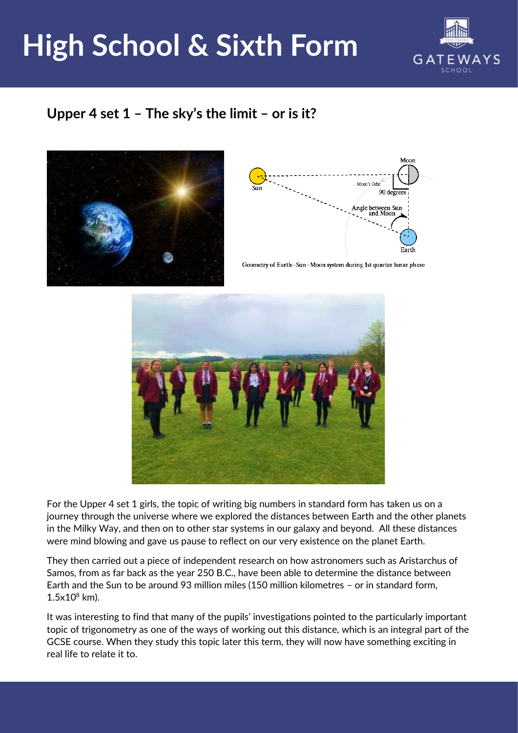## **High School & Sixth Form**



## **Upper 4 set 1 – The sky's the limit – or is it?**





Geometry of Earth-Sun-Moon system during 1st quarter lunar phase



For the Upper 4 set 1 girls, the topic of writing big numbers in standard form has taken us on a journey through the universe where we explored the distances between Earth and the other planets in the Milky Way, and then on to other star systems in our galaxy and beyond. All these distances were mind blowing and gave us pause to reflect on our very existence on the planet Earth.

They then carried out a piece of independent research on how astronomers such as Aristarchus of Samos, from as far back as the year 250 B.C., have been able to determine the distance between Earth and the Sun to be around 93 million miles (150 million kilometres – or in standard form,  $1.5x10^8$  km).

It was interesting to find that many of the pupils' investigations pointed to the particularly important topic of trigonometry as one of the ways of working out this distance, which is an integral part of the GCSE course. When they study this topic later this term, they will now have something exciting in real life to relate it to.